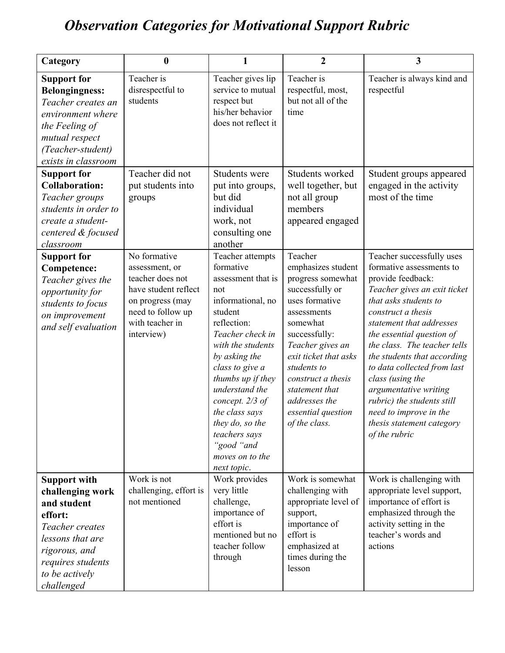# *Observation Categories for Motivational Support Rubric*

| Category                                                                                                                                                                       | $\boldsymbol{0}$                                                                                                                                     | $\mathbf{1}$                                                                                                                                                                                                                                                                                                                                           | $\overline{2}$                                                                                                                                                                                                                                                                                  | 3                                                                                                                                                                                                                                                                                                                                                                                                                                                                          |
|--------------------------------------------------------------------------------------------------------------------------------------------------------------------------------|------------------------------------------------------------------------------------------------------------------------------------------------------|--------------------------------------------------------------------------------------------------------------------------------------------------------------------------------------------------------------------------------------------------------------------------------------------------------------------------------------------------------|-------------------------------------------------------------------------------------------------------------------------------------------------------------------------------------------------------------------------------------------------------------------------------------------------|----------------------------------------------------------------------------------------------------------------------------------------------------------------------------------------------------------------------------------------------------------------------------------------------------------------------------------------------------------------------------------------------------------------------------------------------------------------------------|
| <b>Support for</b><br><b>Belongingness:</b><br>Teacher creates an<br>environment where<br>the Feeling of<br>mutual respect<br>(Teacher-student)<br>exists in classroom         | Teacher is<br>disrespectful to<br>students                                                                                                           | Teacher gives lip<br>service to mutual<br>respect but<br>his/her behavior<br>does not reflect it                                                                                                                                                                                                                                                       | Teacher is<br>respectful, most,<br>but not all of the<br>time                                                                                                                                                                                                                                   | Teacher is always kind and<br>respectful                                                                                                                                                                                                                                                                                                                                                                                                                                   |
| <b>Support for</b><br><b>Collaboration:</b><br>Teacher groups<br>students in order to<br>create a student-<br>centered & focused<br>classroom                                  | Teacher did not<br>put students into<br>groups                                                                                                       | Students were<br>put into groups,<br>but did<br>individual<br>work, not<br>consulting one<br>another                                                                                                                                                                                                                                                   | Students worked<br>well together, but<br>not all group<br>members<br>appeared engaged                                                                                                                                                                                                           | Student groups appeared<br>engaged in the activity<br>most of the time                                                                                                                                                                                                                                                                                                                                                                                                     |
| <b>Support for</b><br>Competence:<br>Teacher gives the<br>opportunity for<br>students to focus<br>on improvement<br>and self evaluation                                        | No formative<br>assessment, or<br>teacher does not<br>have student reflect<br>on progress (may<br>need to follow up<br>with teacher in<br>interview) | Teacher attempts<br>formative<br>assessment that is<br>not<br>informational, no<br>student<br>reflection:<br>Teacher check in<br>with the students<br>by asking the<br>class to give a<br>thumbs up if they<br>understand the<br>concept. 2/3 of<br>the class says<br>they do, so the<br>teachers says<br>"good "and<br>moves on to the<br>next topic. | Teacher<br>emphasizes student<br>progress somewhat<br>successfully or<br>uses formative<br>assessments<br>somewhat<br>successfully:<br>Teacher gives an<br>exit ticket that asks<br>students to<br>construct a thesis<br>statement that<br>addresses the<br>essential question<br>of the class. | Teacher successfully uses<br>formative assessments to<br>provide feedback:<br>Teacher gives an exit ticket<br>that asks students to<br>construct a thesis<br>statement that addresses<br>the essential question of<br>the class. The teacher tells<br>the students that according<br>to data collected from last<br>class (using the<br>argumentative writing<br>rubric) the students still<br>need to improve in the<br><i>thesis statement category</i><br>of the rubric |
| <b>Support with</b><br>challenging work<br>and student<br>effort:<br>Teacher creates<br>lessons that are<br>rigorous, and<br>requires students<br>to be actively<br>challenged | Work is not<br>challenging, effort is<br>not mentioned                                                                                               | Work provides<br>very little<br>challenge,<br>importance of<br>effort is<br>mentioned but no<br>teacher follow<br>through                                                                                                                                                                                                                              | Work is somewhat<br>challenging with<br>appropriate level of<br>support,<br>importance of<br>effort is<br>emphasized at<br>times during the<br>lesson                                                                                                                                           | Work is challenging with<br>appropriate level support,<br>importance of effort is<br>emphasized through the<br>activity setting in the<br>teacher's words and<br>actions                                                                                                                                                                                                                                                                                                   |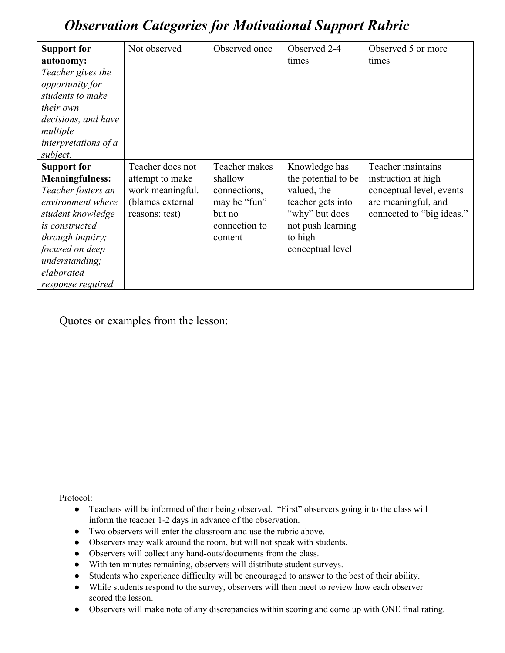## *Observation Categories for Motivational Support Rubric*

| <b>Support for</b>      | Not observed     | Observed once | Observed 2-4        | Observed 5 or more        |
|-------------------------|------------------|---------------|---------------------|---------------------------|
| autonomy:               |                  |               | times               | times                     |
| Teacher gives the       |                  |               |                     |                           |
| opportunity for         |                  |               |                     |                           |
| students to make        |                  |               |                     |                           |
| their own               |                  |               |                     |                           |
| decisions, and have     |                  |               |                     |                           |
| multiple                |                  |               |                     |                           |
| interpretations of a    |                  |               |                     |                           |
| subject.                |                  |               |                     |                           |
| <b>Support for</b>      | Teacher does not | Teacher makes | Knowledge has       | Teacher maintains         |
| <b>Meaningfulness:</b>  | attempt to make  | shallow       | the potential to be | instruction at high       |
| Teacher fosters an      | work meaningful. | connections,  | valued, the         | conceptual level, events  |
| environment where       | (blames external | may be "fun"  | teacher gets into   | are meaningful, and       |
| student knowledge       | reasons: test)   | but no        | "why" but does      | connected to "big ideas." |
| is constructed          |                  | connection to | not push learning   |                           |
| <i>through inquiry;</i> |                  | content       | to high             |                           |
| focused on deep         |                  |               | conceptual level    |                           |
| understanding;          |                  |               |                     |                           |
| elaborated              |                  |               |                     |                           |
| response required       |                  |               |                     |                           |

Quotes or examples from the lesson:

Protocol:

- Teachers will be informed of their being observed. "First" observers going into the class will inform the teacher 1-2 days in advance of the observation.
- Two observers will enter the classroom and use the rubric above.
- Observers may walk around the room, but will not speak with students.
- Observers will collect any hand-outs/documents from the class.
- With ten minutes remaining, observers will distribute student surveys.
- Students who experience difficulty will be encouraged to answer to the best of their ability.
- While students respond to the survey, observers will then meet to review how each observer scored the lesson.
- Observers will make note of any discrepancies within scoring and come up with ONE final rating.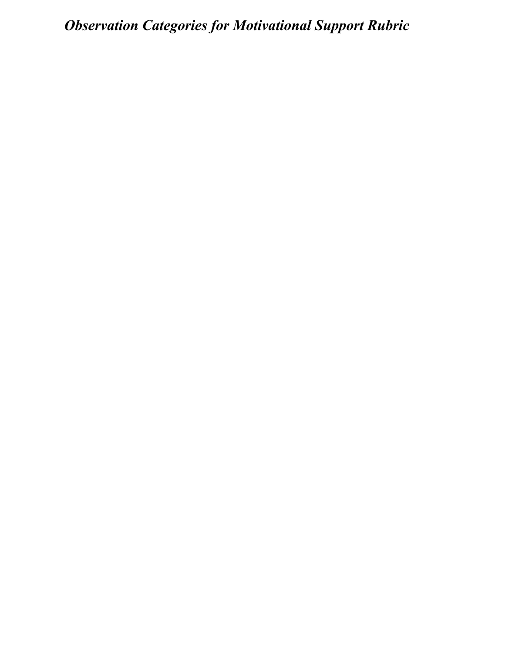# *Observation Categories for Motivational Support Rubric*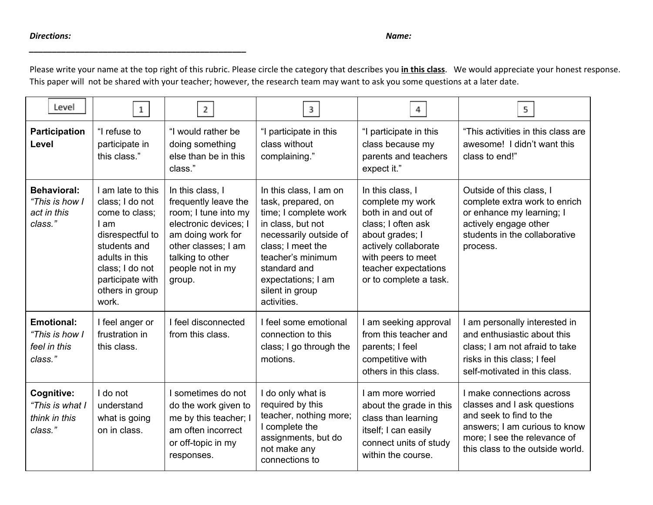#### *Directions: Name:*

*\_\_\_\_\_\_\_\_\_\_\_\_\_\_\_\_\_\_\_\_\_\_\_\_\_\_\_\_\_\_\_\_\_\_\_\_\_\_\_\_\_\_\_\_\_\_\_*

Please write your name at the top right of this rubric. Please circle the category that describes you **in this class**. We would appreciate your honest response. This paper will not be shared with your teacher; however, the research team may want to ask you some questions at a later date.

| Level                                                          | $\mathbf{1}$                                                                                                                                                                            | $\overline{2}$                                                                                                                                                                          | 3                                                                                                                                                                                                                                      | 4                                                                                                                                                                                                   | 5                                                                                                                                                                                        |
|----------------------------------------------------------------|-----------------------------------------------------------------------------------------------------------------------------------------------------------------------------------------|-----------------------------------------------------------------------------------------------------------------------------------------------------------------------------------------|----------------------------------------------------------------------------------------------------------------------------------------------------------------------------------------------------------------------------------------|-----------------------------------------------------------------------------------------------------------------------------------------------------------------------------------------------------|------------------------------------------------------------------------------------------------------------------------------------------------------------------------------------------|
| <b>Participation</b><br>Level                                  | "I refuse to<br>participate in<br>this class."                                                                                                                                          | "I would rather be<br>doing something<br>else than be in this<br>class."                                                                                                                | "I participate in this<br>class without<br>complaining."                                                                                                                                                                               | "I participate in this<br>class because my<br>parents and teachers<br>expect it."                                                                                                                   | "This activities in this class are<br>awesome! I didn't want this<br>class to end!"                                                                                                      |
| <b>Behavioral:</b><br>"This is how I<br>act in this<br>class." | I am late to this<br>class; I do not<br>come to class;<br>I am<br>disrespectful to<br>students and<br>adults in this<br>class; I do not<br>participate with<br>others in group<br>work. | In this class, I<br>frequently leave the<br>room; I tune into my<br>electronic devices; I<br>am doing work for<br>other classes; I am<br>talking to other<br>people not in my<br>group. | In this class, I am on<br>task, prepared, on<br>time; I complete work<br>in class, but not<br>necessarily outside of<br>class; I meet the<br>teacher's minimum<br>standard and<br>expectations; I am<br>silent in group<br>activities. | In this class, I<br>complete my work<br>both in and out of<br>class; I often ask<br>about grades; I<br>actively collaborate<br>with peers to meet<br>teacher expectations<br>or to complete a task. | Outside of this class, I<br>complete extra work to enrich<br>or enhance my learning; I<br>actively engage other<br>students in the collaborative<br>process.                             |
| <b>Emotional:</b><br>"This is how I<br>feel in this<br>class." | I feel anger or<br>frustration in<br>this class.                                                                                                                                        | I feel disconnected<br>from this class.                                                                                                                                                 | I feel some emotional<br>connection to this<br>class; I go through the<br>motions.                                                                                                                                                     | I am seeking approval<br>from this teacher and<br>parents; I feel<br>competitive with<br>others in this class.                                                                                      | I am personally interested in<br>and enthusiastic about this<br>class; I am not afraid to take<br>risks in this class; I feel<br>self-motivated in this class.                           |
| Cognitive:<br>"This is what I<br>think in this<br>class."      | I do not<br>understand<br>what is going<br>on in class.                                                                                                                                 | I sometimes do not<br>do the work given to<br>me by this teacher; I<br>am often incorrect<br>or off-topic in my<br>responses.                                                           | I do only what is<br>required by this<br>teacher, nothing more;<br>I complete the<br>assignments, but do<br>not make any<br>connections to                                                                                             | I am more worried<br>about the grade in this<br>class than learning<br>itself; I can easily<br>connect units of study<br>within the course.                                                         | I make connections across<br>classes and I ask questions<br>and seek to find to the<br>answers; I am curious to know<br>more; I see the relevance of<br>this class to the outside world. |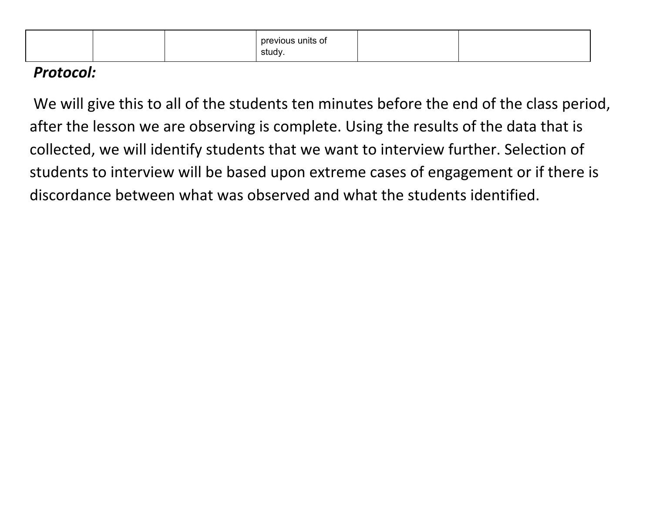|  |  | previous units of<br>study. |  |  |
|--|--|-----------------------------|--|--|
|--|--|-----------------------------|--|--|

## *Protocol:*

We will give this to all of the students ten minutes before the end of the class period, after the lesson we are observing is complete. Using the results of the data that is collected, we will identify students that we want to interview further. Selection of students to interview will be based upon extreme cases of engagement or if there is discordance between what was observed and what the students identified.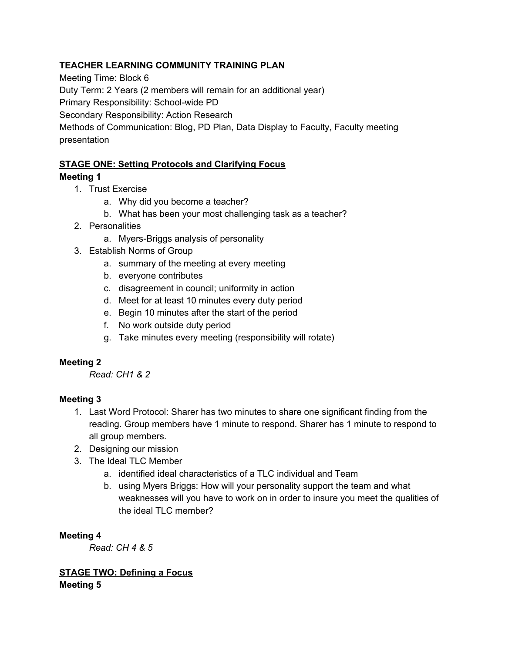#### **TEACHER LEARNING COMMUNITY TRAINING PLAN**

Meeting Time: Block 6

Duty Term: 2 Years (2 members will remain for an additional year)

Primary Responsibility: School-wide PD

Secondary Responsibility: Action Research

Methods of Communication: Blog, PD Plan, Data Display to Faculty, Faculty meeting presentation

#### **STAGE ONE: Setting Protocols and Clarifying Focus**

#### **Meeting 1**

- 1. Trust Exercise
	- a. Why did you become a teacher?
	- b. What has been your most challenging task as a teacher?
- 2. Personalities
	- a. Myers-Briggs analysis of personality
- 3. Establish Norms of Group
	- a. summary of the meeting at every meeting
	- b. everyone contributes
	- c. disagreement in council; uniformity in action
	- d. Meet for at least 10 minutes every duty period
	- e. Begin 10 minutes after the start of the period
	- f. No work outside duty period
	- g. Take minutes every meeting (responsibility will rotate)

### **Meeting 2**

*Read: CH1 & 2*

#### **Meeting 3**

- 1. Last Word Protocol: Sharer has two minutes to share one significant finding from the reading. Group members have 1 minute to respond. Sharer has 1 minute to respond to all group members.
- 2. Designing our mission
- 3. The Ideal TLC Member
	- a. identified ideal characteristics of a TLC individual and Team
	- b. using Myers Briggs: How will your personality support the team and what weaknesses will you have to work on in order to insure you meet the qualities of the ideal TLC member?

#### **Meeting 4**

*Read: CH 4 & 5*

**STAGE TWO: Defining a Focus Meeting 5**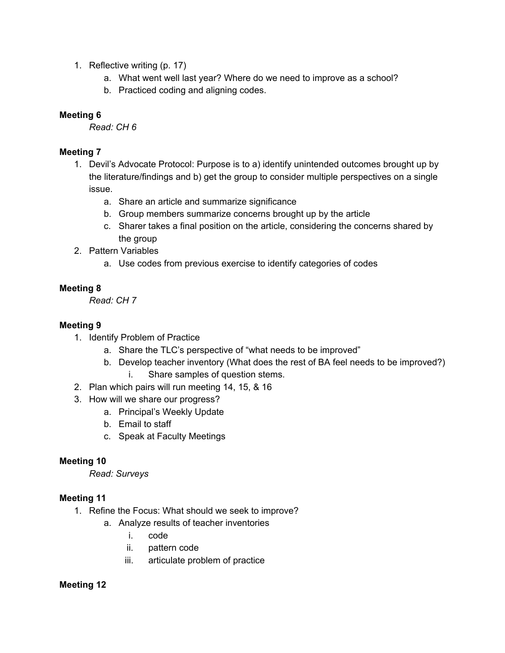- 1. Reflective writing (p. 17)
	- a. What went well last year? Where do we need to improve as a school?
	- b. Practiced coding and aligning codes.

#### **Meeting 6**

*Read: CH 6*

#### **Meeting 7**

- 1. Devil's Advocate Protocol: Purpose is to a) identify unintended outcomes brought up by the literature/findings and b) get the group to consider multiple perspectives on a single issue.
	- a. Share an article and summarize significance
	- b. Group members summarize concerns brought up by the article
	- c. Sharer takes a final position on the article, considering the concerns shared by the group
- 2. Pattern Variables
	- a. Use codes from previous exercise to identify categories of codes

#### **Meeting 8**

*Read: CH 7*

#### **Meeting 9**

- 1. Identify Problem of Practice
	- a. Share the TLC's perspective of "what needs to be improved"
	- b. Develop teacher inventory (What does the rest of BA feel needs to be improved?)
		- i. Share samples of question stems.
- 2. Plan which pairs will run meeting 14, 15, & 16
- 3. How will we share our progress?
	- a. Principal's Weekly Update
	- b. Email to staff
	- c. Speak at Faculty Meetings

#### **Meeting 10**

*Read: Surveys*

#### **Meeting 11**

- 1. Refine the Focus: What should we seek to improve?
	- a. Analyze results of teacher inventories
		- i. code
		- ii. pattern code
		- iii. articulate problem of practice

#### **Meeting 12**